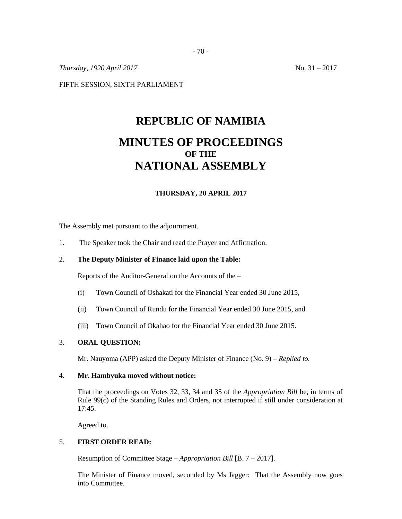*Thursday, 1920 April 2017* No. 31 – 2017

FIFTH SESSION, SIXTH PARLIAMENT

# **REPUBLIC OF NAMIBIA MINUTES OF PROCEEDINGS OF THE NATIONAL ASSEMBLY**

### **THURSDAY, 20 APRIL 2017**

The Assembly met pursuant to the adjournment.

1. The Speaker took the Chair and read the Prayer and Affirmation.

## 2. **The Deputy Minister of Finance laid upon the Table:**

Reports of the Auditor-General on the Accounts of the –

- (i) Town Council of Oshakati for the Financial Year ended 30 June 2015,
- (ii) Town Council of Rundu for the Financial Year ended 30 June 2015, and
- (iii) Town Council of Okahao for the Financial Year ended 30 June 2015.

#### 3. **ORAL QUESTION:**

Mr. Nauyoma (APP) asked the Deputy Minister of Finance (No. 9) – *Replied to.*

### 4. **Mr. Hambyuka moved without notice:**

That the proceedings on Votes 32, 33, 34 and 35 of the *Appropriation Bill* be, in terms of Rule 99(c) of the Standing Rules and Orders, not interrupted if still under consideration at 17:45.

Agreed to.

### 5. **FIRST ORDER READ:**

Resumption of Committee Stage – *Appropriation Bill* [B. 7 – 2017].

The Minister of Finance moved, seconded by Ms Jagger: That the Assembly now goes into Committee.